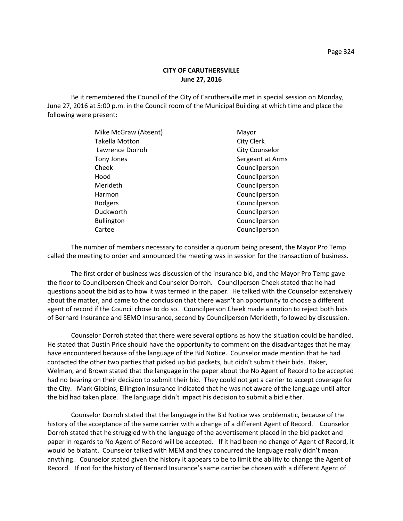Be it remembered the Council of the City of Caruthersville met in special session on Monday, June 27, 2016 at 5:00 p.m. in the Council room of the Municipal Building at which time and place the following were present:

| Mike McGraw (Absent)  | Mayor                 |
|-----------------------|-----------------------|
| <b>Takella Motton</b> | <b>City Clerk</b>     |
| Lawrence Dorroh       | <b>City Counselor</b> |
| Tony Jones            | Sergeant at Arms      |
| Cheek                 | Councilperson         |
| Hood                  | Councilperson         |
| Merideth              | Councilperson         |
| Harmon                | Councilperson         |
| Rodgers               | Councilperson         |
| Duckworth             | Councilperson         |
| <b>Bullington</b>     | Councilperson         |
| Cartee                | Councilperson         |
|                       |                       |

The number of members necessary to consider a quorum being present, the Mayor Pro Temp called the meeting to order and announced the meeting was in session for the transaction of business.

The first order of business was discussion of the insurance bid, and the Mayor Pro Temp gave the floor to Councilperson Cheek and Counselor Dorroh. Councilperson Cheek stated that he had questions about the bid as to how it was termed in the paper. He talked with the Counselor extensively about the matter, and came to the conclusion that there wasn't an opportunity to choose a different agent of record if the Council chose to do so. Councilperson Cheek made a motion to reject both bids of Bernard Insurance and SEMO Insurance, second by Councilperson Merideth, followed by discussion.

Counselor Dorroh stated that there were several options as how the situation could be handled. He stated that Dustin Price should have the opportunity to comment on the disadvantages that he may have encountered because of the language of the Bid Notice. Counselor made mention that he had contacted the other two parties that picked up bid packets, but didn't submit their bids. Baker, Welman, and Brown stated that the language in the paper about the No Agent of Record to be accepted had no bearing on their decision to submit their bid. They could not get a carrier to accept coverage for the City. Mark Gibbins, Ellington Insurance indicated that he was not aware of the language until after the bid had taken place. The language didn't impact his decision to submit a bid either.

Counselor Dorroh stated that the language in the Bid Notice was problematic, because of the history of the acceptance of the same carrier with a change of a different Agent of Record. Counselor Dorroh stated that he struggled with the language of the advertisement placed in the bid packet and paper in regards to No Agent of Record will be accepted. If it had been no change of Agent of Record, it would be blatant. Counselor talked with MEM and they concurred the language really didn't mean anything. Counselor stated given the history it appears to be to limit the ability to change the Agent of Record. If not for the history of Bernard Insurance's same carrier be chosen with a different Agent of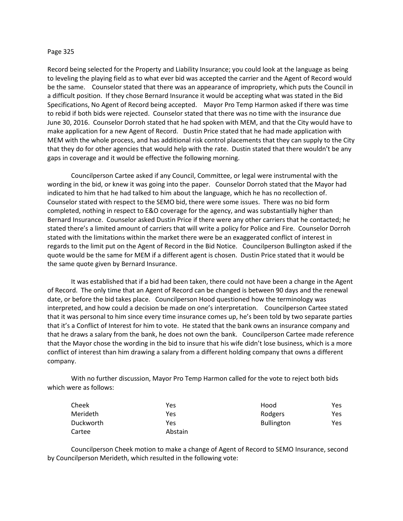## Page 325

Record being selected for the Property and Liability Insurance; you could look at the language as being to leveling the playing field as to what ever bid was accepted the carrier and the Agent of Record would be the same. Counselor stated that there was an appearance of impropriety, which puts the Council in a difficult position. If they chose Bernard Insurance it would be accepting what was stated in the Bid Specifications, No Agent of Record being accepted. Mayor Pro Temp Harmon asked if there was time to rebid if both bids were rejected. Counselor stated that there was no time with the insurance due June 30, 2016. Counselor Dorroh stated that he had spoken with MEM, and that the City would have to make application for a new Agent of Record. Dustin Price stated that he had made application with MEM with the whole process, and has additional risk control placements that they can supply to the City that they do for other agencies that would help with the rate. Dustin stated that there wouldn't be any gaps in coverage and it would be effective the following morning.

Councilperson Cartee asked if any Council, Committee, or legal were instrumental with the wording in the bid, or knew it was going into the paper. Counselor Dorroh stated that the Mayor had indicated to him that he had talked to him about the language, which he has no recollection of. Counselor stated with respect to the SEMO bid, there were some issues. There was no bid form completed, nothing in respect to E&O coverage for the agency, and was substantially higher than Bernard Insurance. Counselor asked Dustin Price if there were any other carriers that he contacted; he stated there's a limited amount of carriers that will write a policy for Police and Fire. Counselor Dorroh stated with the limitations within the market there were be an exaggerated conflict of interest in regards to the limit put on the Agent of Record in the Bid Notice. Councilperson Bullington asked if the quote would be the same for MEM if a different agent is chosen. Dustin Price stated that it would be the same quote given by Bernard Insurance.

It was established that if a bid had been taken, there could not have been a change in the Agent of Record. The only time that an Agent of Record can be changed is between 90 days and the renewal date, or before the bid takes place. Councilperson Hood questioned how the terminology was interpreted, and how could a decision be made on one's interpretation. Councilperson Cartee stated that it was personal to him since every time insurance comes up, he's been told by two separate parties that it's a Conflict of Interest for him to vote. He stated that the bank owns an insurance company and that he draws a salary from the bank, he does not own the bank. Councilperson Cartee made reference that the Mayor chose the wording in the bid to insure that his wife didn't lose business, which is a more conflict of interest than him drawing a salary from a different holding company that owns a different company.

With no further discussion, Mayor Pro Temp Harmon called for the vote to reject both bids which were as follows:

| Cheek     | Yes     | Hood              | Yes |
|-----------|---------|-------------------|-----|
| Merideth  | Yes     | Rodgers           | Yes |
| Duckworth | Yes     | <b>Bullington</b> | Yes |
| Cartee    | Abstain |                   |     |

Councilperson Cheek motion to make a change of Agent of Record to SEMO Insurance, second by Councilperson Merideth, which resulted in the following vote: